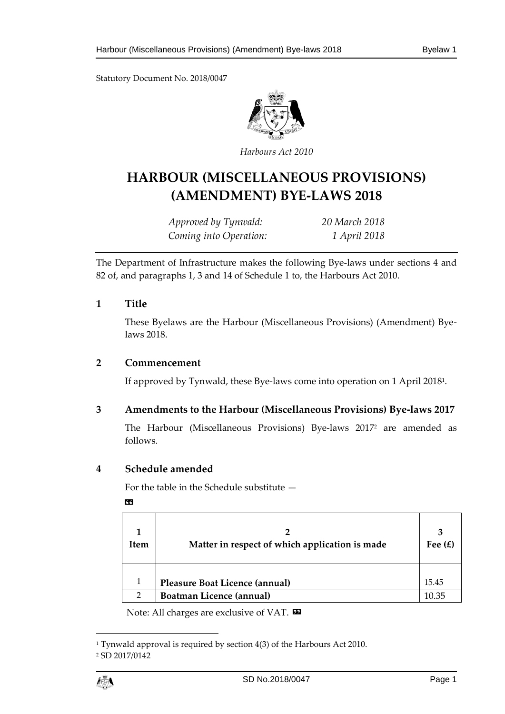Statutory Document No. 2018/0047



*Harbours Act 2010*

# **HARBOUR (MISCELLANEOUS PROVISIONS) (AMENDMENT) BYE-LAWS 2018**

*Approved by Tynwald: 20 March 2018 Coming into Operation: 1 April 2018*

The Department of Infrastructure makes the following Bye-laws under sections 4 and 82 of, and paragraphs 1, 3 and 14 of Schedule 1 to, the Harbours Act 2010.

## **1 Title**

These Byelaws are the Harbour (Miscellaneous Provisions) (Amendment) Byelaws 2018.

## **2 Commencement**

If approved by Tynwald, these Bye-laws come into operation on 1 April 2018<sup>1</sup> .

## **3 Amendments to the Harbour (Miscellaneous Provisions) Bye-laws 2017**

The Harbour (Miscellaneous Provisions) Bye-laws 2017<sup>2</sup> are amended as follows.

## **4 Schedule amended**

For the table in the Schedule substitute —

«

| <b>Item</b> | Matter in respect of which application is made | 3<br>Fee $(E)$ |
|-------------|------------------------------------------------|----------------|
|             | <b>Pleasure Boat Licence (annual)</b>          | 15.45          |
|             | Boatman Licence (annual)                       |                |

Note: All charges are exclusive of VAT.  $\blacksquare$ 

 $\overline{a}$ 

<sup>1</sup> Tynwald approval is required by section 4(3) of the Harbours Act 2010. <sup>2</sup> SD 2017/0142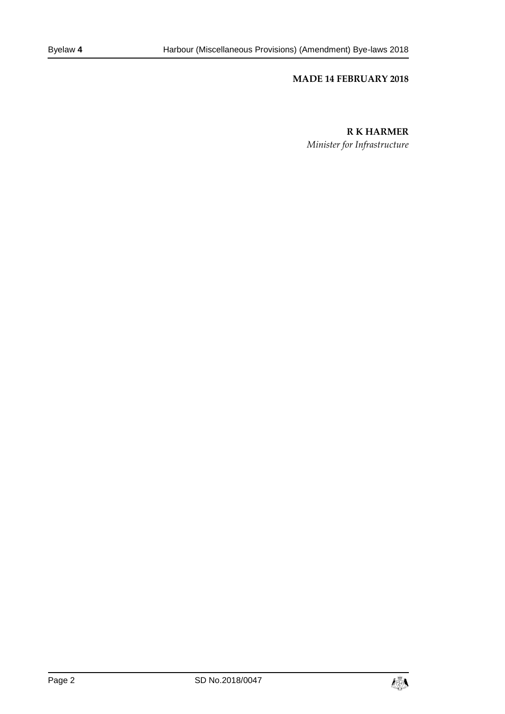#### **MADE 14 FEBRUARY 2018**

#### **R K HARMER**

*Minister for Infrastructure*